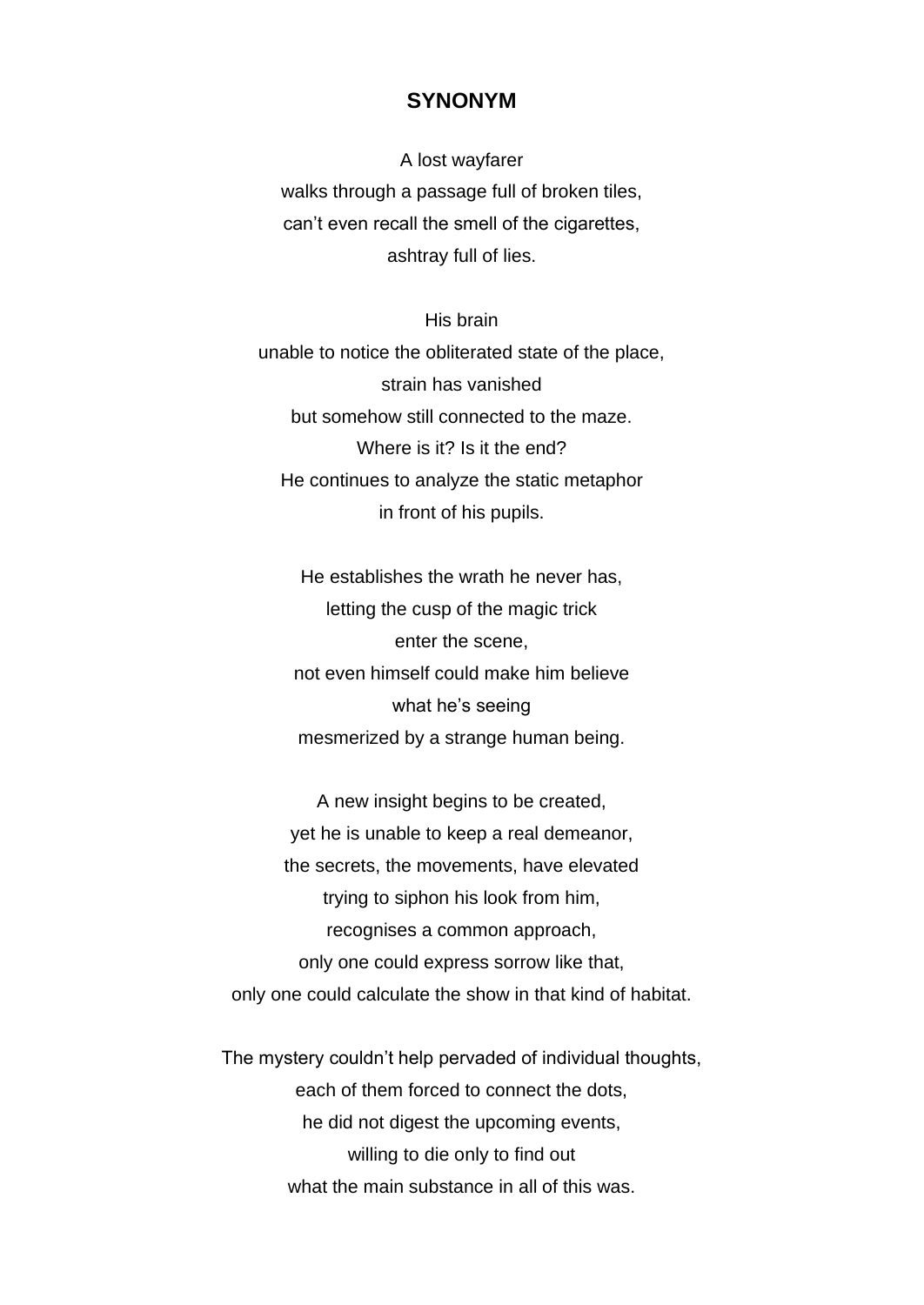## **SYNONYM**

A lost wayfarer walks through a passage full of broken tiles, can't even recall the smell of the cigarettes, ashtray full of lies.

His brain unable to notice the obliterated state of the place, strain has vanished but somehow still connected to the maze. Where is it? Is it the end? He continues to analyze the static metaphor in front of his pupils.

He establishes the wrath he never has, letting the cusp of the magic trick enter the scene, not even himself could make him believe what he's seeing mesmerized by a strange human being.

A new insight begins to be created, yet he is unable to keep a real demeanor, the secrets, the movements, have elevated trying to siphon his look from him, recognises a common approach, only one could express sorrow like that, only one could calculate the show in that kind of habitat.

The mystery couldn't help pervaded of individual thoughts, each of them forced to connect the dots, he did not digest the upcoming events, willing to die only to find out what the main substance in all of this was.